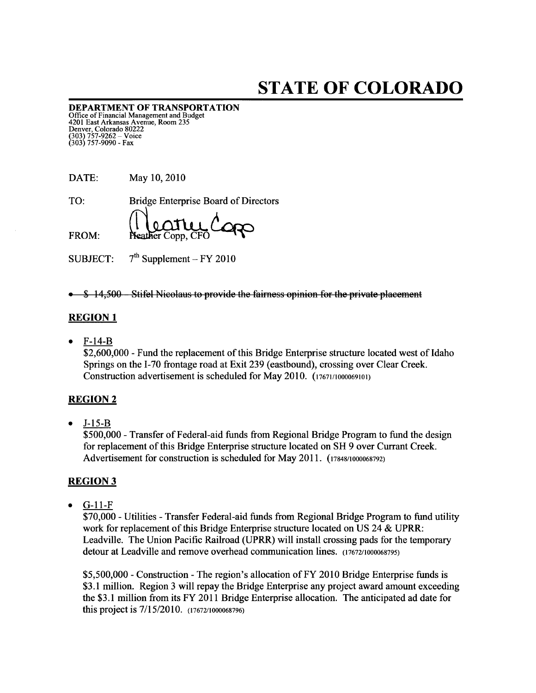# STATE OF COLORADO

DEPARTMENT OF TRANSPORTATION Office of Financial Management and Budget 4201 East Arkansas Avenue, Room 235 Denver, Colorado 80222 (303) 757-9262 — Voice (303) 757-9090 - Fax

| DATE: | May 10, 2010                                |
|-------|---------------------------------------------|
| TO:   | <b>Bridge Enterprise Board of Directors</b> |
| FROM: | Reather Copp, CFO                           |

SUBJECT:  $7<sup>th</sup>$  Supplement – FY 2010

• \$ 14,500 Stifel Nicolaus to provide the fairness opinion for the private placement

## REGION <sup>1</sup>

• F-14-B

\$2,600,000 - Fund the replacement of this Bridge Enterprise structure located west of Idaho Springs on the 1-70 frontage road at Exit 239 (eastbound), crossing over Clear Creek. Construction advertisement is scheduled for May 2010. (17671/1000069101)

#### REGION 2

• J-15-B

\$500,000 -Transfer of Federal-aid funds from Regional Bridge Program to fund the design for replacement of this Bridge Enterprise structure located on SH 9 over Currant Creek. Advertisement for construction is scheduled for May 2011. (17848/1000068792)

### REGION 3

 $\bullet$  G-11- $F$ 

\$70,000 -Utilities -Transfer Federal-aid funds from Regional Bridge Program to fund utility work for replacement of this Bridge Enterprise structure located on US 24 & UPRR: Leadville. The Union Pacific Railroad (UPRR) will install crossing pads for the temporary detour at Leadville and remove overhead communication lines. (17672/1000068795)

\$5,500,000 -Construction -The region's allocation of FY 2010 Bridge Enterprise funds is \$3.1 million. Region 3 will repay the Bridge Enterprise any project award amount exceeding the \$3.1 million from its FY 2011 Bridge Enterprise allocation. The anticipated ad date for this project is 7/15/2010. (17672/1000068796)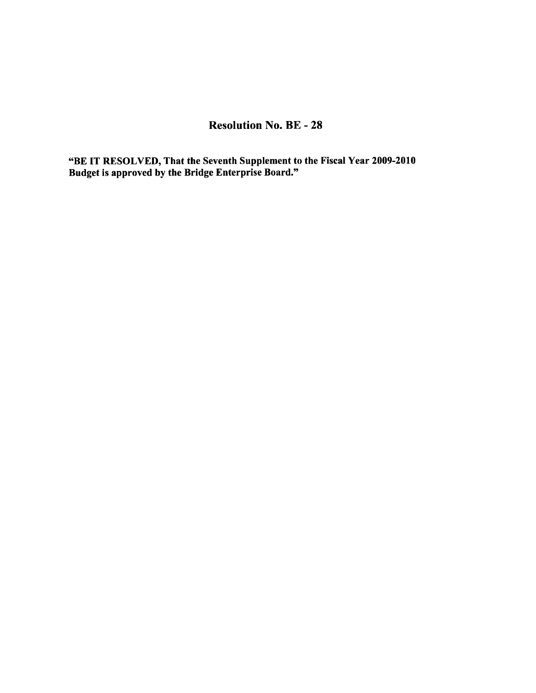# Resolution No. BE - 28

"BE IT RESOLVED, That the Seventh Supplement to the Fiscal Year 2009-2010 Budget is approved by the Bridge Enterprise Board."